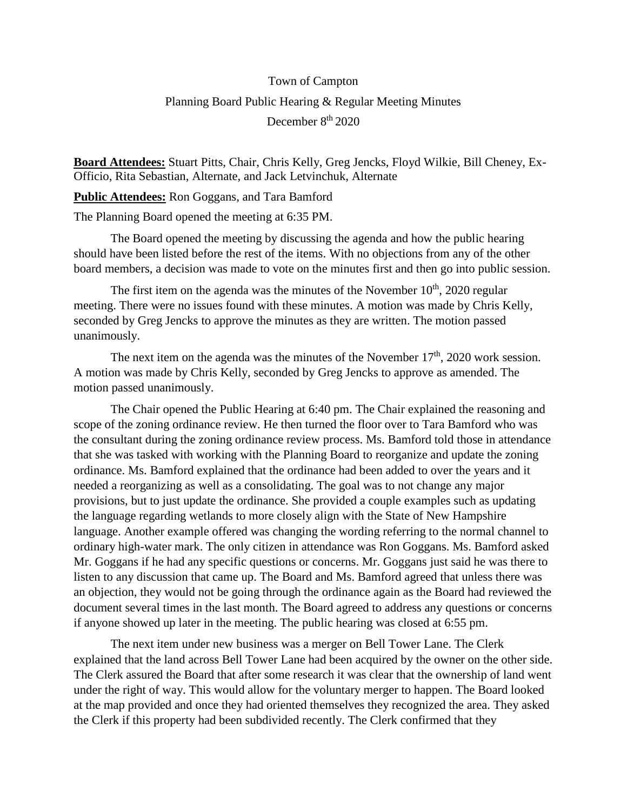## Town of Campton Planning Board Public Hearing & Regular Meeting Minutes December 8<sup>th</sup> 2020

**Board Attendees:** Stuart Pitts, Chair, Chris Kelly, Greg Jencks, Floyd Wilkie, Bill Cheney, Ex-Officio, Rita Sebastian, Alternate, and Jack Letvinchuk, Alternate

**Public Attendees:** Ron Goggans, and Tara Bamford

The Planning Board opened the meeting at 6:35 PM.

The Board opened the meeting by discussing the agenda and how the public hearing should have been listed before the rest of the items. With no objections from any of the other board members, a decision was made to vote on the minutes first and then go into public session.

The first item on the agenda was the minutes of the November  $10<sup>th</sup>$ , 2020 regular meeting. There were no issues found with these minutes. A motion was made by Chris Kelly, seconded by Greg Jencks to approve the minutes as they are written. The motion passed unanimously.

The next item on the agenda was the minutes of the November  $17<sup>th</sup>$ , 2020 work session. A motion was made by Chris Kelly, seconded by Greg Jencks to approve as amended. The motion passed unanimously.

The Chair opened the Public Hearing at 6:40 pm. The Chair explained the reasoning and scope of the zoning ordinance review. He then turned the floor over to Tara Bamford who was the consultant during the zoning ordinance review process. Ms. Bamford told those in attendance that she was tasked with working with the Planning Board to reorganize and update the zoning ordinance. Ms. Bamford explained that the ordinance had been added to over the years and it needed a reorganizing as well as a consolidating. The goal was to not change any major provisions, but to just update the ordinance. She provided a couple examples such as updating the language regarding wetlands to more closely align with the State of New Hampshire language. Another example offered was changing the wording referring to the normal channel to ordinary high-water mark. The only citizen in attendance was Ron Goggans. Ms. Bamford asked Mr. Goggans if he had any specific questions or concerns. Mr. Goggans just said he was there to listen to any discussion that came up. The Board and Ms. Bamford agreed that unless there was an objection, they would not be going through the ordinance again as the Board had reviewed the document several times in the last month. The Board agreed to address any questions or concerns if anyone showed up later in the meeting. The public hearing was closed at 6:55 pm.

The next item under new business was a merger on Bell Tower Lane. The Clerk explained that the land across Bell Tower Lane had been acquired by the owner on the other side. The Clerk assured the Board that after some research it was clear that the ownership of land went under the right of way. This would allow for the voluntary merger to happen. The Board looked at the map provided and once they had oriented themselves they recognized the area. They asked the Clerk if this property had been subdivided recently. The Clerk confirmed that they